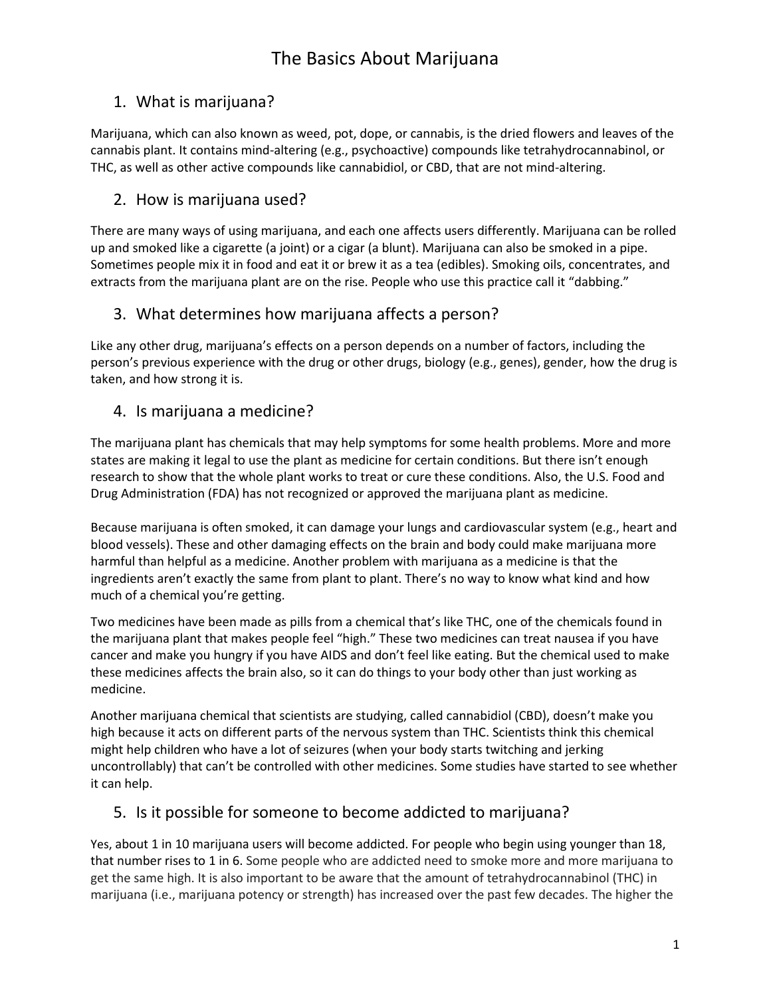## 1. What is marijuana?

Marijuana, which can also known as weed, pot, dope, or cannabis, is the dried flowers and leaves of the cannabis plant. It contains mind-altering (e.g., psychoactive) compounds like tetrahydrocannabinol, or THC, as well as other active compounds like cannabidiol, or CBD, that are not mind-altering.

## 2. How is marijuana used?

There are many ways of using marijuana, and each one affects users differently. Marijuana can be rolled up and smoked like a cigarette (a joint) or a cigar (a blunt). Marijuana can also be smoked in a pipe. Sometimes people mix it in food and eat it or brew it as a tea (edibles). Smoking oils, concentrates, and extracts from the marijuana plant are on the rise. People who use this practice call it "dabbing."

## 3. What determines how marijuana affects a person?

Like any other drug, marijuana's effects on a person depends on a number of factors, including the person's previous experience with the drug or other drugs, biology (e.g., genes), gender, how the drug is taken, and how strong it is.

## 4. Is marijuana a medicine?

The marijuana plant has chemicals that may help symptoms for some health problems. More and more states are making it legal to use the plant as medicine for certain conditions. But there isn't enough research to show that the whole plant works to treat or cure these conditions. Also, the [U.S. Food and](https://www.fda.gov/NewsEvents/PublicHealthFocus/ucm421163.htm)  [Drug Administration \(FDA\)](https://www.fda.gov/NewsEvents/PublicHealthFocus/ucm421163.htm) has not recognized or approved the marijuana plant as medicine.

Because marijuana is often smoked, it can damage your lungs and cardiovascular system (e.g., heart and blood vessels). These and other damaging effects on the brain and body could make marijuana more harmful than helpful as a medicine. Another problem with marijuana as a medicine is that the ingredients aren't exactly the same from plant to plant. There's no way to know what kind and how much of a chemical you're getting.

Two medicines have been made as pills from a chemical that's like THC, one of the chemicals found in the marijuana plant that makes people feel "high." These two medicines can treat nausea if you have cancer and make you hungry if you have AIDS and don't feel like eating. But the chemical used to make these medicines affects the brain also, so it can do things to your body other than just working as medicine.

Another marijuana chemical that scientists are studying, called cannabidiol (CBD), doesn't make you high because it acts on different parts of the nervous system than THC. Scientists think this chemical might help children who have a lot of seizures (when your body starts twitching and jerking uncontrollably) that can't be controlled with other medicines. Some studies have started to see whether it can help.

## 5. Is it possible for someone to become addicted to marijuana?

Yes, about 1 in 10 marijuana users will become addicted. For people who begin using younger than 18, that number rises to 1 in 6. Some people who are addicted need to smoke more and more marijuana to get the same high. It is also important to be aware that the amount of tetrahydrocannabinol (THC) in marijuana (i.e., marijuana potency or strength) has increased over the past few decades. The higher the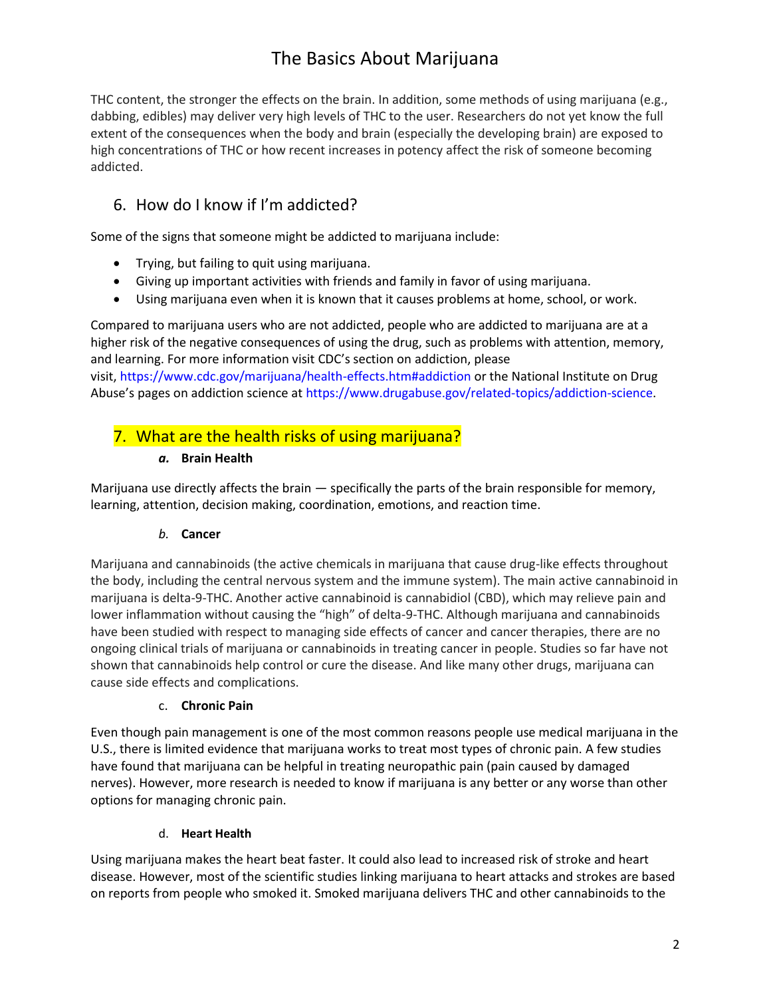THC content, the stronger the effects on the brain. In addition, some methods of using marijuana (e.g., dabbing, edibles) may deliver very high levels of THC to the user. Researchers do not yet know the full extent of the consequences when the body and brain (especially the developing brain) are exposed to high concentrations of THC or how recent increases in potency affect the risk of someone becoming addicted.

## 6. How do I know if I'm addicted?

Some of the signs that someone might be addicted to marijuana include:

- Trying, but failing to quit using marijuana.
- Giving up important activities with friends and family in favor of using marijuana.
- Using marijuana even when it is known that it causes problems at home, school, or work.

Compared to marijuana users who are not addicted, people who are addicted to marijuana are at a higher risk of the negative consequences of using the drug, such as problems with attention, memory, and learning. For more information visit CDC's section on [addiction,](https://www.cdc.gov/marijuana/health-effects.htm#addiction) please visit, <https://www.cdc.gov/marijuana/health-effects.htm#addiction> or the National Institute on Drug Abuse's pages on addiction science at [https://www.drugabuse.gov/related-topics/addiction-science.](https://www.drugabuse.gov/related-topics/addiction-science)

## 7. What are the health risks of using marijuana?

#### *a.* **Brain Health**

Marijuana use directly affects the brain — specifically the parts of the brain responsible for memory, learning, attention, decision making, coordination, emotions, and reaction time.

#### *b.* **Cancer**

Marijuana and cannabinoids (the active chemicals in marijuana that cause drug-like effects throughout the body, including the central nervous system and the immune system). The main active cannabinoid in marijuana is delta-9-THC. Another active cannabinoid is cannabidiol (CBD), which may relieve pain and lower inflammation without causing the "high" of delta-9-THC. Although marijuana and cannabinoids have been studied with respect to managing side effects of cancer and cancer therapies, there are no ongoing clinical trials of marijuana or cannabinoids in treating cancer in people. Studies so far have not shown that cannabinoids help control or cure the disease. And like many other drugs, marijuana can cause side effects and complications.

#### c. **Chronic Pain**

Even though pain management is one of the most common reasons people use medical marijuana in the U.S., there is limited evidence that marijuana works to treat most types of chronic pain. A few studies have found that marijuana can be helpful in treating neuropathic pain (pain caused by damaged nerves). However, more research is needed to know if marijuana is any better or any worse than other options for managing chronic pain.

#### d. **Heart Health**

Using marijuana makes the heart beat faster. It could also lead to increased risk of stroke and heart disease. However, most of the scientific studies linking marijuana to heart attacks and strokes are based on reports from people who smoked it. Smoked marijuana delivers THC and other cannabinoids to the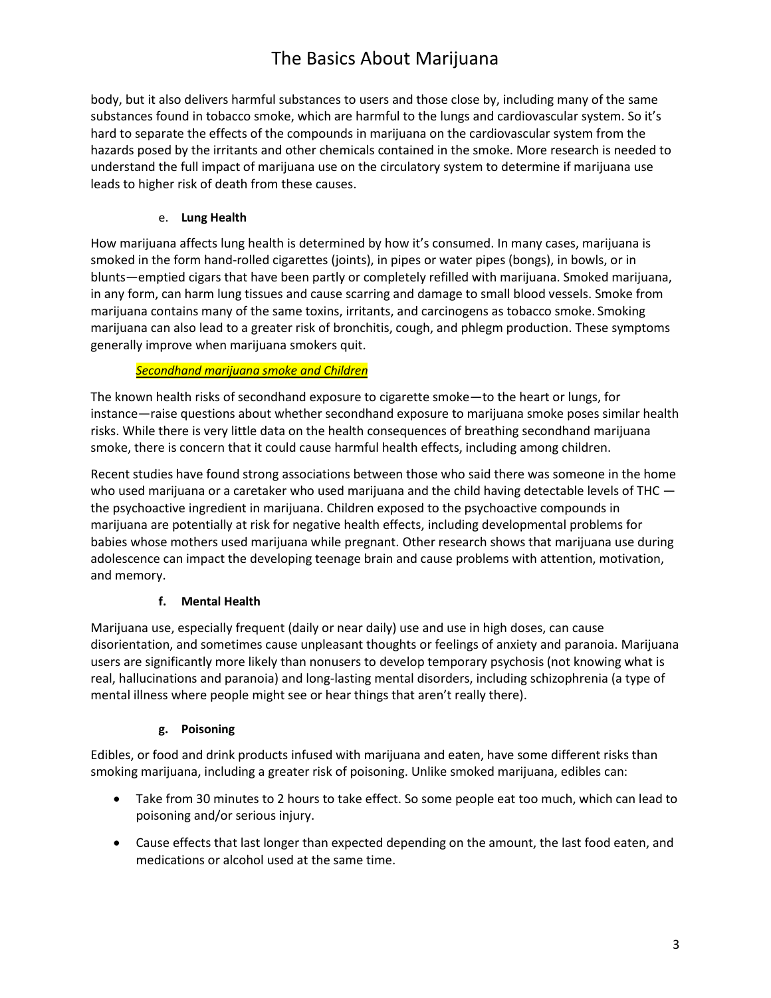body, but it also delivers harmful substances to users and those close by, including many of the same substances found in tobacco smoke, which are harmful to the lungs and cardiovascular system. So it's hard to separate the effects of the compounds in marijuana on the cardiovascular system from the hazards posed by the irritants and other chemicals contained in the smoke. More research is needed to understand the full impact of marijuana use on the circulatory system to determine if marijuana use leads to higher risk of death from these causes.

#### e. **Lung Health**

How marijuana affects lung health is determined by how it's consumed. In many cases, marijuana is smoked in the form hand-rolled cigarettes (joints), in pipes or water pipes (bongs), in bowls, or in blunts—emptied cigars that have been partly or completely refilled with marijuana. Smoked marijuana, in any form, can harm lung tissues and cause scarring and damage to small blood vessels. Smoke from marijuana contains many of the same toxins, irritants, and carcinogens as tobacco smoke. Smoking marijuana can also lead to a greater risk of bronchitis, cough, and phlegm production. These symptoms generally improve when marijuana smokers quit.

#### *Secondhand marijuana smoke and Children*

The known health risks of secondhand exposure to cigarette smoke—to the heart or lungs, for instance—raise questions about whether secondhand exposure to marijuana smoke poses similar health risks. While there is very little data on the health consequences of breathing secondhand marijuana smoke, there is concern that it could cause harmful health effects, including among children.

Recent studies have found strong associations between those who said there was someone in the home who used marijuana or a caretaker who used marijuana and the child having detectable levels of THC  $$ the psychoactive ingredient in marijuana. Children exposed to the psychoactive compounds in marijuana are potentially at risk for negative health effects, including developmental problems for babies whose mothers used marijuana while pregnant. Other research shows that marijuana use during adolescence can impact the developing teenage brain and cause problems with attention, motivation, and memory.

#### **f. Mental Health**

Marijuana use, especially frequent (daily or near daily) use and use in high doses, can cause disorientation, and sometimes cause unpleasant thoughts or feelings of anxiety and paranoia. Marijuana users are significantly more likely than nonusers to develop temporary psychosis (not knowing what is real, hallucinations and paranoia) and long-lasting mental disorders, including schizophrenia (a type of mental illness where people might see or hear things that aren't really there).

#### **g. Poisoning**

Edibles, or food and drink products infused with marijuana and eaten, have some different risks than smoking marijuana, including a greater risk of poisoning. Unlike smoked marijuana, edibles can:

- Take from 30 minutes to 2 hours to take effect. So some people eat too much, which can lead to poisoning and/or serious injury.
- Cause effects that last longer than expected depending on the amount, the last food eaten, and medications or alcohol used at the same time.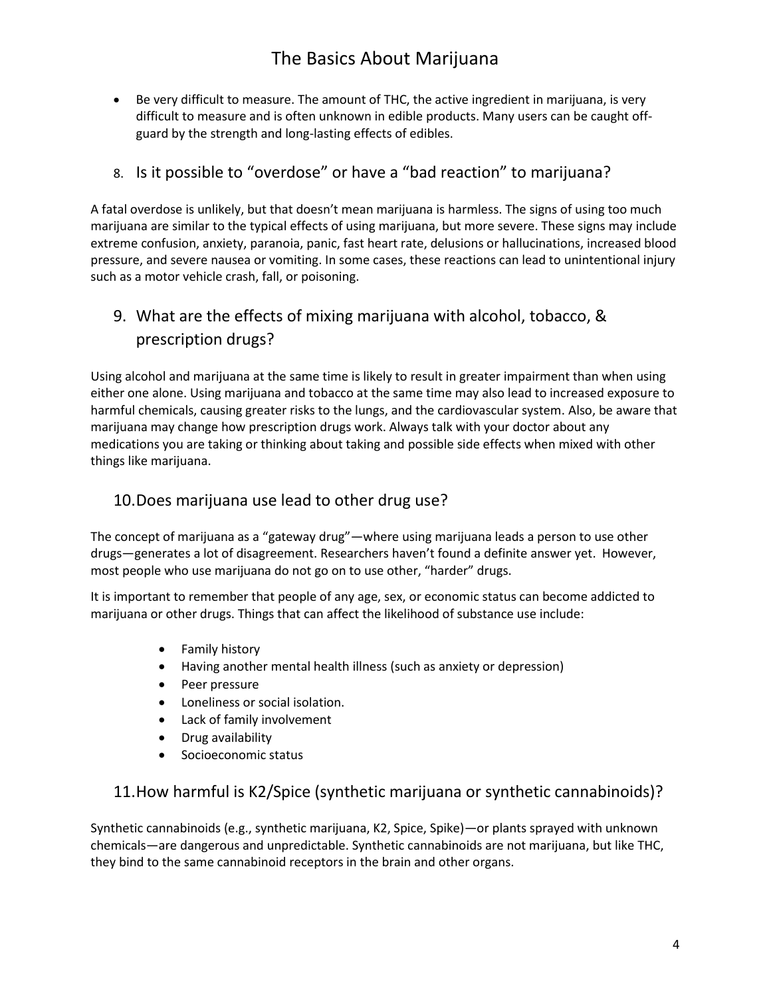• Be very difficult to measure. The amount of THC, the active ingredient in marijuana, is very difficult to measure and is often unknown in edible products. Many users can be caught offguard by the strength and long-lasting effects of edibles.

## 8. Is it possible to "overdose" or have a "bad reaction" to marijuana?

A fatal overdose is unlikely, but that doesn't mean marijuana is harmless. The signs of using too much marijuana are similar to the typical effects of using marijuana, but more severe. These signs may include extreme confusion, anxiety, paranoia, panic, fast heart rate, delusions or hallucinations, increased blood pressure, and severe nausea or vomiting. In some cases, these reactions can lead to unintentional injury such as a motor vehicle crash, fall, or poisoning.

## 9. What are the effects of mixing marijuana with alcohol, tobacco, & prescription drugs?

Using alcohol and marijuana at the same time is likely to result in greater impairment than when using either one alone. Using marijuana and tobacco at the same time may also lead to increased exposure to harmful chemicals, causing greater risks to the lungs, and the cardiovascular system. Also, be aware that marijuana may change how prescription drugs work. Always talk with your doctor about any medications you are taking or thinking about taking and possible side effects when mixed with other things like marijuana.

## 10.Does marijuana use lead to other drug use?

The concept of marijuana as a "gateway drug"—where using marijuana leads a person to use other drugs—generates a lot of disagreement. Researchers haven't found a definite answer yet. However, most people who use marijuana do not go on to use other, "harder" drugs.

It is important to remember that people of any age, sex, or economic status can become addicted to marijuana or other drugs. Things that can affect the likelihood of substance use include:

- Family history
- Having another mental health illness (such as anxiety or depression)
- Peer pressure
- Loneliness or social isolation.
- Lack of family involvement
- Drug availability
- Socioeconomic status

## 11.How harmful is K2/Spice (synthetic marijuana or synthetic cannabinoids)?

Synthetic cannabinoids (e.g., synthetic marijuana, K2, Spice, Spike)—or plants sprayed with unknown chemicals—are dangerous and unpredictable. Synthetic cannabinoids are not marijuana, but like THC, they bind to the same cannabinoid receptors in the brain and other organs.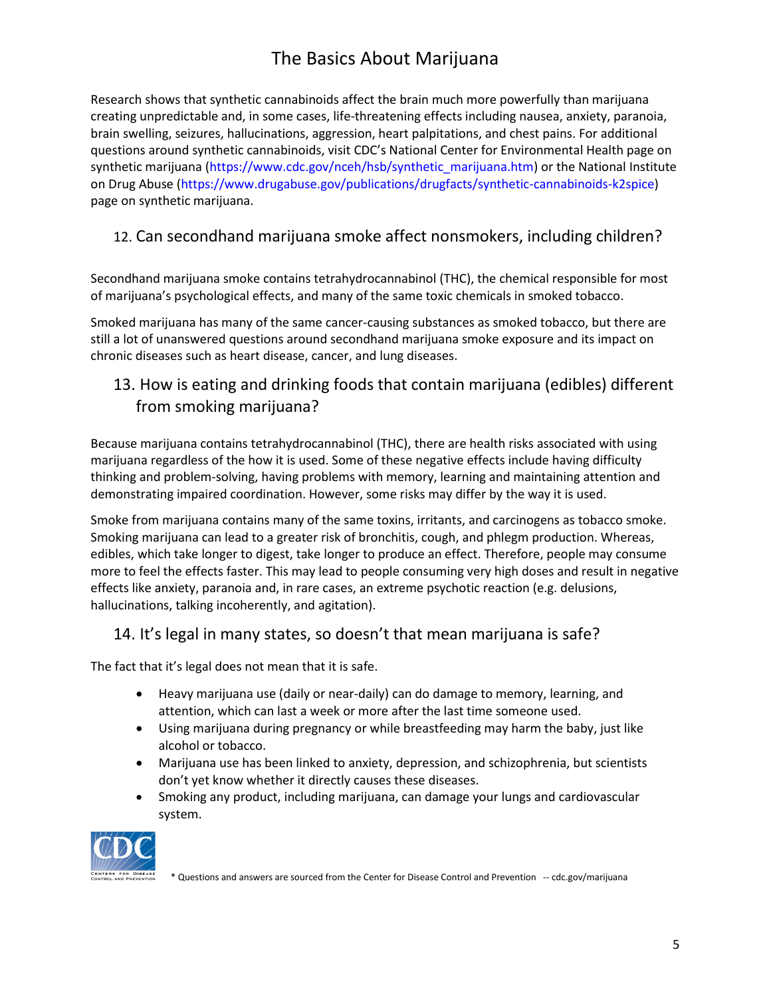Research shows that synthetic cannabinoids affect the brain much more powerfully than marijuana creating unpredictable and, in some cases, life-threatening effects including nausea, anxiety, paranoia, brain swelling, seizures, hallucinations, aggression, heart palpitations, and chest pains. For additional questions around synthetic cannabinoids, visit [CDC's National Center for Environmental Health page on](https://www.cdc.gov/nceh/hsb/synthetic_marijuana.htm)  [synthetic marijuana](https://www.cdc.gov/nceh/hsb/synthetic_marijuana.htm) [\(https://www.cdc.gov/nceh/hsb/synthetic\\_marijuana.htm\)](https://www.cdc.gov/nceh/hsb/synthetic_marijuana.htm) or the National Institute [on Drug Abuse](file:///C:/Users/aarontjennings/Downloads/National%20Institute%20on%20Drug%20Abuse) [\(https://www.drugabuse.gov/publications/drugfacts/synthetic-cannabinoids-k2spice\)](https://www.drugabuse.gov/publications/drugfacts/synthetic-cannabinoids-k2spice) page on synthetic marijuana.

## 12. Can secondhand marijuana smoke affect nonsmokers, including children?

Secondhand marijuana smoke contains tetrahydrocannabinol (THC), the chemical responsible for most of marijuana's psychological effects, and many of the same toxic chemicals in smoked tobacco.

Smoked marijuana has many of the same cancer-causing substances as smoked tobacco, but there are still a lot of unanswered questions around secondhand marijuana smoke exposure and its impact on chronic diseases such as heart disease, cancer, and lung diseases.

## 13. How is eating and drinking foods that contain marijuana (edibles) different from smoking marijuana?

Because marijuana contains tetrahydrocannabinol (THC), there are health risks associated with using marijuana regardless of the how it is used. Some of these negative effects include having difficulty thinking and problem-solving, having problems with memory, learning and maintaining attention and demonstrating impaired coordination. However, some risks may differ by the way it is used.

Smoke from marijuana contains many of the same toxins, irritants, and carcinogens as tobacco smoke. Smoking marijuana can lead to a greater risk of bronchitis, cough, and phlegm production. Whereas, edibles, which take longer to digest, take longer to produce an effect. Therefore, people may consume more to feel the effects faster. This may lead to people consuming very high doses and result in negative effects like anxiety, paranoia and, in rare cases, an extreme psychotic reaction (e.g. delusions, hallucinations, talking incoherently, and agitation).

## 14. It's legal in many states, so doesn't that mean marijuana is safe?

The fact that it's legal does not mean that it is safe.

- Heavy marijuana use (daily or near-daily) can do damage to memory, learning, and attention, which can last a week or more after the last time someone used.
- Using marijuana during pregnancy or while breastfeeding may harm the baby, just like alcohol or tobacco.
- Marijuana use has been linked to anxiety, depression, and schizophrenia, but scientists don't yet know whether it directly causes these diseases.
- Smoking any product, including marijuana, can damage your lungs and cardiovascular system.



\* Questions and answers are sourced from the Center for Disease Control and Prevention -- cdc.gov/marijuana